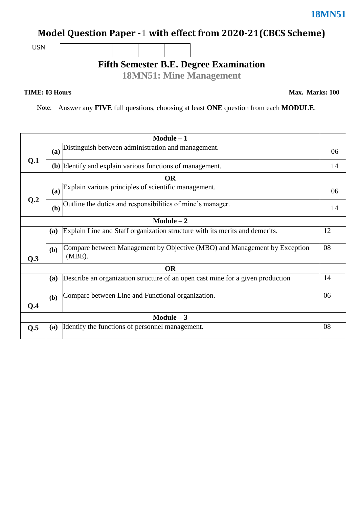## **Model Question Paper -1 with effect from 2020-21(CBCS Scheme)**

USN

## **Fifth Semester B.E. Degree Examination**

**18MN51: Mine Management**

**TIME: 03 Hours** Max. Marks: 100

Note: Answer any **FIVE** full questions, choosing at least **ONE** question from each **MODULE**.

| $Module - 1$    |           |                                                                                        |    |  |  |  |  |  |
|-----------------|-----------|----------------------------------------------------------------------------------------|----|--|--|--|--|--|
| Q.1             | (a)       | Distinguish between administration and management.                                     |    |  |  |  |  |  |
|                 |           | (b) Identify and explain various functions of management.                              |    |  |  |  |  |  |
|                 | <b>OR</b> |                                                                                        |    |  |  |  |  |  |
| Q <sub>.2</sub> | (a)       | Explain various principles of scientific management.                                   |    |  |  |  |  |  |
|                 | (b)       | Outline the duties and responsibilities of mine's manager.                             |    |  |  |  |  |  |
| $Module - 2$    |           |                                                                                        |    |  |  |  |  |  |
|                 | (a)       | Explain Line and Staff organization structure with its merits and demerits.            |    |  |  |  |  |  |
| Q.3             | (b)       | Compare between Management by Objective (MBO) and Management by Exception<br>$(MBE)$ . |    |  |  |  |  |  |
| <b>OR</b>       |           |                                                                                        |    |  |  |  |  |  |
|                 | (a)       | Describe an organization structure of an open cast mine for a given production         | 14 |  |  |  |  |  |
| Q.4             | (b)       | Compare between Line and Functional organization.                                      | 06 |  |  |  |  |  |
| Module $-3$     |           |                                                                                        |    |  |  |  |  |  |
| Q.5             | (a)       | Identify the functions of personnel management.                                        | 08 |  |  |  |  |  |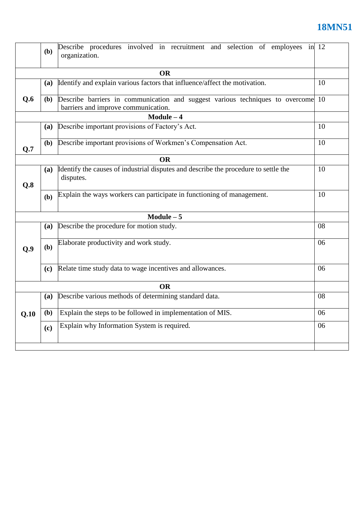## **18MN51**

|           | (b)                                                                                                                         | Describe procedures involved in recruitment and selection of employees in 12<br>organization.    |    |  |  |  |  |  |
|-----------|-----------------------------------------------------------------------------------------------------------------------------|--------------------------------------------------------------------------------------------------|----|--|--|--|--|--|
| <b>OR</b> |                                                                                                                             |                                                                                                  |    |  |  |  |  |  |
|           | Identify and explain various factors that influence/affect the motivation.<br><b>(a)</b>                                    |                                                                                                  |    |  |  |  |  |  |
| Q.6       | Describe barriers in communication and suggest various techniques to overcome<br>(b)<br>barriers and improve communication. |                                                                                                  |    |  |  |  |  |  |
|           |                                                                                                                             | $Module - 4$                                                                                     |    |  |  |  |  |  |
|           | <b>(a)</b>                                                                                                                  | Describe important provisions of Factory's Act.<br>10                                            |    |  |  |  |  |  |
| Q.7       | ( <b>b</b> )                                                                                                                | Describe important provisions of Workmen's Compensation Act.                                     |    |  |  |  |  |  |
|           |                                                                                                                             | <b>OR</b>                                                                                        |    |  |  |  |  |  |
| Q.8       | (a)                                                                                                                         | Identify the causes of industrial disputes and describe the procedure to settle the<br>disputes. |    |  |  |  |  |  |
|           | <b>(b)</b>                                                                                                                  | Explain the ways workers can participate in functioning of management.                           | 10 |  |  |  |  |  |
|           |                                                                                                                             | $Module - 5$                                                                                     |    |  |  |  |  |  |
|           | <b>(a)</b>                                                                                                                  | Describe the procedure for motion study.                                                         | 08 |  |  |  |  |  |
| Q.9       | (b)                                                                                                                         | Elaborate productivity and work study.                                                           |    |  |  |  |  |  |
|           | (c)                                                                                                                         | Relate time study data to wage incentives and allowances.                                        | 06 |  |  |  |  |  |
|           | <b>OR</b>                                                                                                                   |                                                                                                  |    |  |  |  |  |  |
| Q.10      | <b>(a)</b>                                                                                                                  | Describe various methods of determining standard data.                                           | 08 |  |  |  |  |  |
|           | (b)                                                                                                                         | Explain the steps to be followed in implementation of MIS.                                       | 06 |  |  |  |  |  |
|           | (c)                                                                                                                         | Explain why Information System is required.                                                      | 06 |  |  |  |  |  |
|           |                                                                                                                             |                                                                                                  |    |  |  |  |  |  |